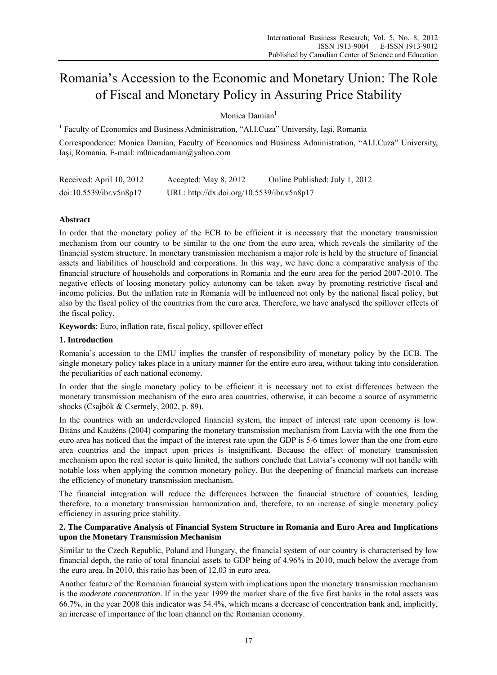# Romania's Accession to the Economic and Monetary Union: The Role of Fiscal and Monetary Policy in Assuring Price Stability

# Monica Damian<sup>1</sup>

<sup>1</sup> Faculty of Economics and Business Administration, "Al.I.Cuza" University, Iași, Romania

Correspondence: Monica Damian, Faculty of Economics and Business Administration, "Al.I.Cuza" University, Iaşi, Romania. E-mail: m0nicadamian@yahoo.com

| Received: April 10, 2012 | Accepted: May 8, 2012                      | Online Published: July 1, 2012 |
|--------------------------|--------------------------------------------|--------------------------------|
| doi:10.5539/ibr.v5n8p17  | URL: http://dx.doi.org/10.5539/ibr.v5n8p17 |                                |

# **Abstract**

In order that the monetary policy of the ECB to be efficient it is necessary that the monetary transmission mechanism from our country to be similar to the one from the euro area, which reveals the similarity of the financial system structure. In monetary transmission mechanism a major role is held by the structure of financial assets and liabilities of household and corporations. In this way, we have done a comparative analysis of the financial structure of households and corporations in Romania and the euro area for the period 2007-2010. The negative effects of loosing monetary policy autonomy can be taken away by promoting restrictive fiscal and income policies. But the inflation rate in Romania will be influenced not only by the national fiscal policy, but also by the fiscal policy of the countries from the euro area. Therefore, we have analysed the spillover effects of the fiscal policy.

**Keywords**: Euro, inflation rate, fiscal policy, spillover effect

### **1. Introduction**

Romania's accession to the EMU implies the transfer of responsibility of monetary policy by the ECB. The single monetary policy takes place in a unitary manner for the entire euro area, without taking into consideration the peculiarities of each national economy.

In order that the single monetary policy to be efficient it is necessary not to exist differences between the monetary transmission mechanism of the euro area countries, otherwise, it can become a source of asymmetric shocks (Csajbók & Csermely, 2002, p. 89).

In the countries with an underdeveloped financial system, the impact of interest rate upon economy is low. Bitāns and Kaužēns (2004) comparing the monetary transmission mechanism from Latvia with the one from the euro area has noticed that the impact of the interest rate upon the GDP is 5-6 times lower than the one from euro area countries and the impact upon prices is insignificant. Because the effect of monetary transmission mechanism upon the real sector is quite limited, the authors conclude that Latvia's economy will not handle with notable loss when applying the common monetary policy. But the deepening of financial markets can increase the efficiency of monetary transmission mechanism.

The financial integration will reduce the differences between the financial structure of countries, leading therefore, to a monetary transmission harmonization and, therefore, to an increase of single monetary policy efficiency in assuring price stability.

## **2. The Comparative Analysis of Financial System Structure in Romania and Euro Area and Implications upon the Monetary Transmission Mechanism**

Similar to the Czech Republic, Poland and Hungary, the financial system of our country is characterised by low financial depth, the ratio of total financial assets to GDP being of 4.96% in 2010, much below the average from the euro area. In 2010, this ratio has been of 12.03 in euro area.

Another feature of the Romanian financial system with implications upon the monetary transmission mechanism is the *moderate concentration*. If in the year 1999 the market share of the five first banks in the total assets was 66.7%, in the year 2008 this indicator was 54.4%, which means a decrease of concentration bank and, implicitly, an increase of importance of the loan channel on the Romanian economy.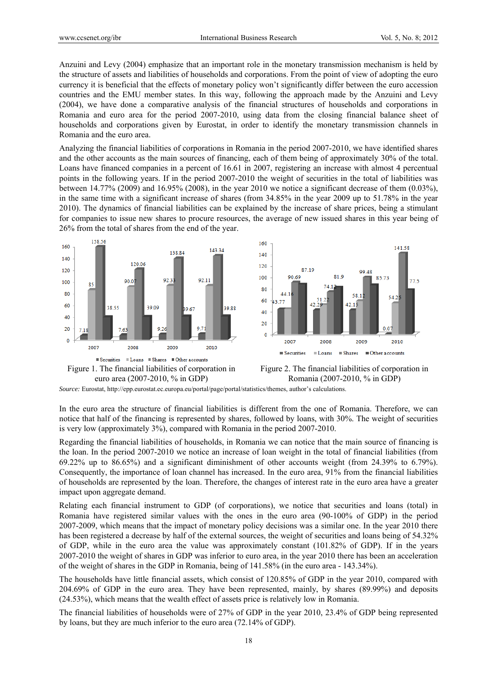Anzuini and Levy (2004) emphasize that an important role in the monetary transmission mechanism is held by the structure of assets and liabilities of households and corporations. From the point of view of adopting the euro currency it is beneficial that the effects of monetary policy won't significantly differ between the euro accession countries and the EMU member states. In this way, following the approach made by the Anzuini and Levy (2004), we have done a comparative analysis of the financial structures of households and corporations in Romania and euro area for the period 2007-2010, using data from the closing financial balance sheet of households and corporations given by Eurostat, in order to identify the monetary transmission channels in Romania and the euro area.

Analyzing the financial liabilities of corporations in Romania in the period 2007-2010, we have identified shares and the other accounts as the main sources of financing, each of them being of approximately 30% of the total. Loans have financed companies in a percent of 16.61 in 2007, registering an increase with almost 4 percentual points in the following years. If in the period 2007-2010 the weight of securities in the total of liabilities was between 14.77% (2009) and 16.95% (2008), in the year 2010 we notice a significant decrease of them  $(0.03\%)$ , in the same time with a significant increase of shares (from 34.85% in the year 2009 up to 51.78% in the year 2010). The dynamics of financial liabilities can be explained by the increase of share prices, being a stimulant for companies to issue new shares to procure resources, the average of new issued shares in this year being of 26% from the total of shares from the end of the year.







*Source:* Eurostat, http://epp.eurostat.ec.europa.eu/portal/page/portal/statistics/themes, author's calculations.

In the euro area the structure of financial liabilities is different from the one of Romania. Therefore, we can notice that half of the financing is represented by shares, followed by loans, with 30%. The weight of securities is very low (approximately 3%), compared with Romania in the period 2007-2010.

Regarding the financial liabilities of households, in Romania we can notice that the main source of financing is the loan. In the period 2007-2010 we notice an increase of loan weight in the total of financial liabilities (from 69.22% up to 86.65%) and a significant diminishment of other accounts weight (from 24.39% to 6.79%). Consequently, the importance of loan channel has increased. In the euro area, 91% from the financial liabilities of households are represented by the loan. Therefore, the changes of interest rate in the euro area have a greater impact upon aggregate demand.

Relating each financial instrument to GDP (of corporations), we notice that securities and loans (total) in Romania have registered similar values with the ones in the euro area (90-100% of GDP) in the period 2007-2009, which means that the impact of monetary policy decisions was a similar one. In the year 2010 there has been registered a decrease by half of the external sources, the weight of securities and loans being of 54.32% of GDP, while in the euro area the value was approximately constant (101.82% of GDP). If in the years 2007-2010 the weight of shares in GDP was inferior to euro area, in the year 2010 there has been an acceleration of the weight of shares in the GDP in Romania, being of 141.58% (in the euro area - 143.34%).

The households have little financial assets, which consist of 120.85% of GDP in the year 2010, compared with 204.69% of GDP in the euro area. They have been represented, mainly, by shares (89.99%) and deposits (24.53%), which means that the wealth effect of assets price is relatively low in Romania.

The financial liabilities of households were of 27% of GDP in the year 2010, 23.4% of GDP being represented by loans, but they are much inferior to the euro area (72.14% of GDP).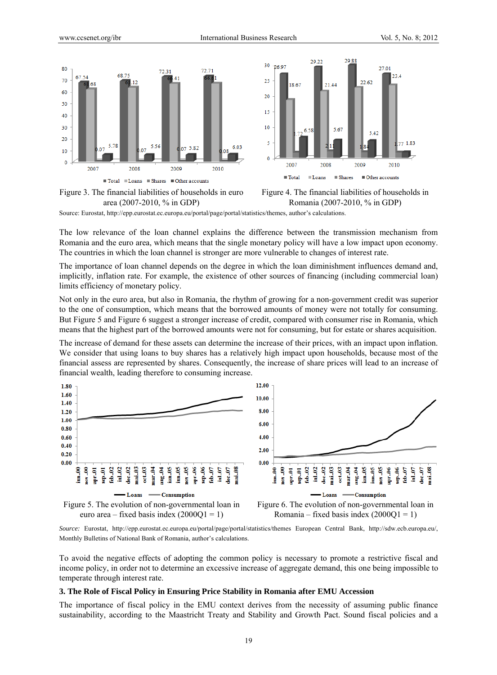



Figure 3. The financial liabilities of households in euro area (2007-2010, % in GDP)



Source: Eurostat, http://epp.eurostat.ec.europa.eu/portal/page/portal/statistics/themes, author's calculations.

The low relevance of the loan channel explains the difference between the transmission mechanism from Romania and the euro area, which means that the single monetary policy will have a low impact upon economy. The countries in which the loan channel is stronger are more vulnerable to changes of interest rate.

The importance of loan channel depends on the degree in which the loan diminishment influences demand and, implicitly, inflation rate. For example, the existence of other sources of financing (including commercial loan) limits efficiency of monetary policy.

Not only in the euro area, but also in Romania, the rhythm of growing for a non-government credit was superior to the one of consumption, which means that the borrowed amounts of money were not totally for consuming. But Figure 5 and Figure 6 suggest a stronger increase of credit, compared with consumer rise in Romania, which means that the highest part of the borrowed amounts were not for consuming, but for estate or shares acquisition.

The increase of demand for these assets can determine the increase of their prices, with an impact upon inflation. We consider that using loans to buy shares has a relatively high impact upon households, because most of the financial assess are represented by shares. Consequently, the increase of share prices will lead to an increase of financial wealth, leading therefore to consuming increase.



*Source:* Eurostat, http://epp.eurostat.ec.europa.eu/portal/page/portal/statistics/themes European Central Bank, http://sdw.ecb.europa.eu/, Monthly Bulletins of National Bank of Romania, author's calculations.

To avoid the negative effects of adopting the common policy is necessary to promote a restrictive fiscal and income policy, in order not to determine an excessive increase of aggregate demand, this one being impossible to temperate through interest rate.

#### **3. The Role of Fiscal Policy in Ensuring Price Stability in Romania after EMU Accession**

The importance of fiscal policy in the EMU context derives from the necessity of assuming public finance sustainability, according to the Maastricht Treaty and Stability and Growth Pact. Sound fiscal policies and a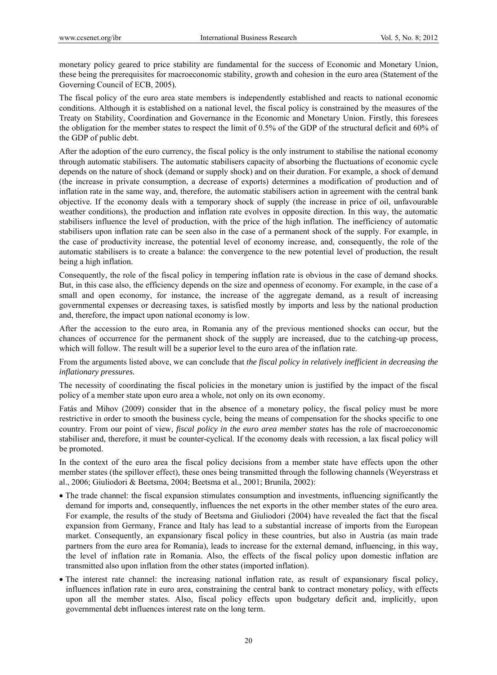monetary policy geared to price stability are fundamental for the success of Economic and Monetary Union, these being the prerequisites for macroeconomic stability, growth and cohesion in the euro area (Statement of the Governing Council of ECB, 2005).

The fiscal policy of the euro area state members is independently established and reacts to national economic conditions. Although it is established on a national level, the fiscal policy is constrained by the measures of the Treaty on Stability, Coordination and Governance in the Economic and Monetary Union. Firstly, this foresees the obligation for the member states to respect the limit of 0.5% of the GDP of the structural deficit and 60% of the GDP of public debt.

After the adoption of the euro currency, the fiscal policy is the only instrument to stabilise the national economy through automatic stabilisers. The automatic stabilisers capacity of absorbing the fluctuations of economic cycle depends on the nature of shock (demand or supply shock) and on their duration. For example, a shock of demand (the increase in private consumption, a decrease of exports) determines a modification of production and of inflation rate in the same way, and, therefore, the automatic stabilisers action in agreement with the central bank objective. If the economy deals with a temporary shock of supply (the increase in price of oil, unfavourable weather conditions), the production and inflation rate evolves in opposite direction. In this way, the automatic stabilisers influence the level of production, with the price of the high inflation. The inefficiency of automatic stabilisers upon inflation rate can be seen also in the case of a permanent shock of the supply. For example, in the case of productivity increase, the potential level of economy increase, and, consequently, the role of the automatic stabilisers is to create a balance: the convergence to the new potential level of production, the result being a high inflation.

Consequently, the role of the fiscal policy in tempering inflation rate is obvious in the case of demand shocks. But, in this case also, the efficiency depends on the size and openness of economy. For example, in the case of a small and open economy, for instance, the increase of the aggregate demand, as a result of increasing governmental expenses or decreasing taxes, is satisfied mostly by imports and less by the national production and, therefore, the impact upon national economy is low.

After the accession to the euro area, in Romania any of the previous mentioned shocks can occur, but the chances of occurrence for the permanent shock of the supply are increased, due to the catching-up process, which will follow. The result will be a superior level to the euro area of the inflation rate.

From the arguments listed above, we can conclude that *the fiscal policy in relatively inefficient in decreasing the inflationary pressures.* 

The necessity of coordinating the fiscal policies in the monetary union is justified by the impact of the fiscal policy of a member state upon euro area a whole, not only on its own economy.

Fatás and Mihov (2009) consider that in the absence of a monetary policy, the fiscal policy must be more restrictive in order to smooth the business cycle, being the means of compensation for the shocks specific to one country. From our point of view, *fiscal policy in the euro area member states* has the role of macroeconomic stabiliser and, therefore, it must be counter-cyclical. If the economy deals with recession, a lax fiscal policy will be promoted.

In the context of the euro area the fiscal policy decisions from a member state have effects upon the other member states (the spillover effect), these ones being transmitted through the following channels (Weyerstrass et al., 2006; Giuliodori & Beetsma, 2004; Beetsma et al., 2001; Brunila, 2002):

- The trade channel: the fiscal expansion stimulates consumption and investments, influencing significantly the demand for imports and, consequently, influences the net exports in the other member states of the euro area. For example, the results of the study of Beetsma and Giuliodori (2004) have revealed the fact that the fiscal expansion from Germany, France and Italy has lead to a substantial increase of imports from the European market. Consequently, an expansionary fiscal policy in these countries, but also in Austria (as main trade partners from the euro area for Romania), leads to increase for the external demand, influencing, in this way, the level of inflation rate in Romania. Also, the effects of the fiscal policy upon domestic inflation are transmitted also upon inflation from the other states (imported inflation).
- The interest rate channel: the increasing national inflation rate, as result of expansionary fiscal policy, influences inflation rate in euro area, constraining the central bank to contract monetary policy, with effects upon all the member states. Also, fiscal policy effects upon budgetary deficit and, implicitly, upon governmental debt influences interest rate on the long term.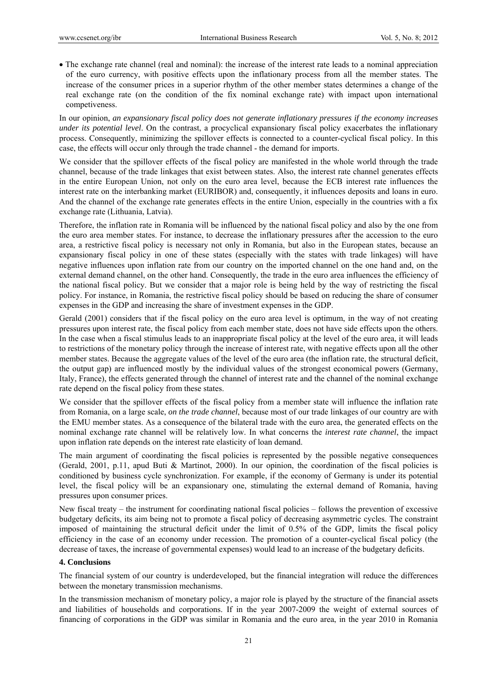The exchange rate channel (real and nominal): the increase of the interest rate leads to a nominal appreciation of the euro currency, with positive effects upon the inflationary process from all the member states. The increase of the consumer prices in a superior rhythm of the other member states determines a change of the real exchange rate (on the condition of the fix nominal exchange rate) with impact upon international competiveness.

In our opinion, *an expansionary fiscal policy does not generate inflationary pressures if the economy increases under its potential level*. On the contrast, a procyclical expansionary fiscal policy exacerbates the inflationary process. Consequently, minimizing the spillover effects is connected to a counter-cyclical fiscal policy. In this case, the effects will occur only through the trade channel - the demand for imports.

We consider that the spillover effects of the fiscal policy are manifested in the whole world through the trade channel, because of the trade linkages that exist between states. Also, the interest rate channel generates effects in the entire European Union, not only on the euro area level, because the ECB interest rate influences the interest rate on the interbanking market (EURIBOR) and, consequently, it influences deposits and loans in euro. And the channel of the exchange rate generates effects in the entire Union, especially in the countries with a fix exchange rate (Lithuania, Latvia).

Therefore, the inflation rate in Romania will be influenced by the national fiscal policy and also by the one from the euro area member states. For instance, to decrease the inflationary pressures after the accession to the euro area, a restrictive fiscal policy is necessary not only in Romania, but also in the European states, because an expansionary fiscal policy in one of these states (especially with the states with trade linkages) will have negative influences upon inflation rate from our country on the imported channel on the one hand and, on the external demand channel, on the other hand. Consequently, the trade in the euro area influences the efficiency of the national fiscal policy. But we consider that a major role is being held by the way of restricting the fiscal policy. For instance, in Romania, the restrictive fiscal policy should be based on reducing the share of consumer expenses in the GDP and increasing the share of investment expenses in the GDP.

Gerald (2001) considers that if the fiscal policy on the euro area level is optimum, in the way of not creating pressures upon interest rate, the fiscal policy from each member state, does not have side effects upon the others. In the case when a fiscal stimulus leads to an inappropriate fiscal policy at the level of the euro area, it will leads to restrictions of the monetary policy through the increase of interest rate, with negative effects upon all the other member states. Because the aggregate values of the level of the euro area (the inflation rate, the structural deficit, the output gap) are influenced mostly by the individual values of the strongest economical powers (Germany, Italy, France), the effects generated through the channel of interest rate and the channel of the nominal exchange rate depend on the fiscal policy from these states.

We consider that the spillover effects of the fiscal policy from a member state will influence the inflation rate from Romania, on a large scale, *on the trade channel*, because most of our trade linkages of our country are with the EMU member states. As a consequence of the bilateral trade with the euro area, the generated effects on the nominal exchange rate channel will be relatively low. In what concerns the *interest rate channel*, the impact upon inflation rate depends on the interest rate elasticity of loan demand.

The main argument of coordinating the fiscal policies is represented by the possible negative consequences (Gerald, 2001, p.11, apud Buti & Martinot, 2000). In our opinion, the coordination of the fiscal policies is conditioned by business cycle synchronization. For example, if the economy of Germany is under its potential level, the fiscal policy will be an expansionary one, stimulating the external demand of Romania, having pressures upon consumer prices.

New fiscal treaty – the instrument for coordinating national fiscal policies – follows the prevention of excessive budgetary deficits, its aim being not to promote a fiscal policy of decreasing asymmetric cycles. The constraint imposed of maintaining the structural deficit under the limit of 0.5% of the GDP, limits the fiscal policy efficiency in the case of an economy under recession. The promotion of a counter-cyclical fiscal policy (the decrease of taxes, the increase of governmental expenses) would lead to an increase of the budgetary deficits.

### **4. Conclusions**

The financial system of our country is underdeveloped, but the financial integration will reduce the differences between the monetary transmission mechanisms.

In the transmission mechanism of monetary policy, a major role is played by the structure of the financial assets and liabilities of households and corporations. If in the year 2007-2009 the weight of external sources of financing of corporations in the GDP was similar in Romania and the euro area, in the year 2010 in Romania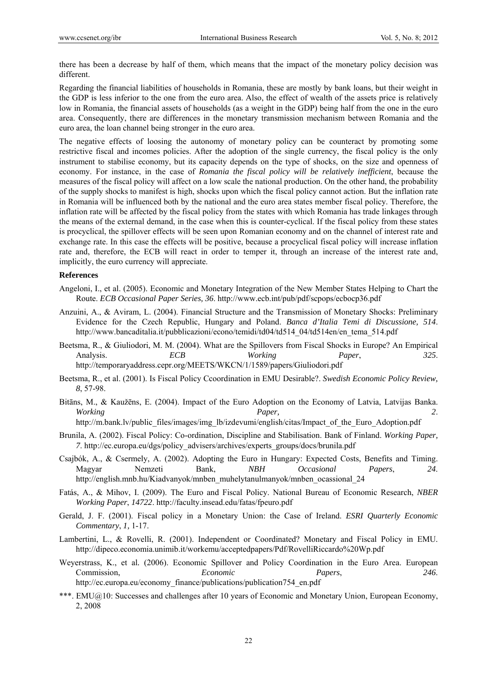there has been a decrease by half of them, which means that the impact of the monetary policy decision was different.

Regarding the financial liabilities of households in Romania, these are mostly by bank loans, but their weight in the GDP is less inferior to the one from the euro area. Also, the effect of wealth of the assets price is relatively low in Romania, the financial assets of households (as a weight in the GDP) being half from the one in the euro area. Consequently, there are differences in the monetary transmission mechanism between Romania and the euro area, the loan channel being stronger in the euro area.

The negative effects of loosing the autonomy of monetary policy can be counteract by promoting some restrictive fiscal and incomes policies. After the adoption of the single currency, the fiscal policy is the only instrument to stabilise economy, but its capacity depends on the type of shocks, on the size and openness of economy. For instance, in the case of *Romania the fiscal policy will be relatively inefficient*, because the measures of the fiscal policy will affect on a low scale the national production. On the other hand, the probability of the supply shocks to manifest is high, shocks upon which the fiscal policy cannot action. But the inflation rate in Romania will be influenced both by the national and the euro area states member fiscal policy. Therefore, the inflation rate will be affected by the fiscal policy from the states with which Romania has trade linkages through the means of the external demand, in the case when this is counter-cyclical. If the fiscal policy from these states is procyclical, the spillover effects will be seen upon Romanian economy and on the channel of interest rate and exchange rate. In this case the effects will be positive, because a procyclical fiscal policy will increase inflation rate and, therefore, the ECB will react in order to temper it, through an increase of the interest rate and, implicitly, the euro currency will appreciate.

### **References**

- Angeloni, I., et al. (2005). Economic and Monetary Integration of the New Member States Helping to Chart the Route. *ECB Occasional Paper Series, 36*. http://www.ecb.int/pub/pdf/scpops/ecbocp36.pdf
- Anzuini, A., & Aviram, L. (2004). Financial Structure and the Transmission of Monetary Shocks: Preliminary Evidence for the Czech Republic, Hungary and Poland. *Banca d'Italia Temi di Discussione, 514*. http://www.bancaditalia.it/pubblicazioni/econo/temidi/td04/td514\_04/td514en/en\_tema\_514.pdf
- Beetsma, R., & Giuliodori, M. M. (2004). What are the Spillovers from Fiscal Shocks in Europe? An Empirical Analysis. *ECB Working Paper*, *325*. http://temporaryaddress.cepr.org/MEETS/WKCN/1/1589/papers/Giuliodori.pdf
- Beetsma, R., et al. (2001). Is Fiscal Policy Ccoordination in EMU Desirable?. *Swedish Economic Policy Review, 8*, 57-98.
- Bitāns, M., & Kaužēns, E. (2004). Impact of the Euro Adoption on the Economy of Latvia, Latvijas Banka. *Working Paper, 2*.

http://m.bank.lv/public\_files/images/img\_lb/izdevumi/english/citas/Impact\_of\_the\_Euro\_Adoption.pdf

- Brunila, A. (2002). Fiscal Policy: Co-ordination, Discipline and Stabilisation. Bank of Finland. *Working Paper, 7*. http://ec.europa.eu/dgs/policy\_advisers/archives/experts\_groups/docs/brunila.pdf
- Csajbók, A., & Csermely, A. (2002). Adopting the Euro in Hungary: Expected Costs, Benefits and Timing. Magyar Nemzeti Bank, *NBH Occasional Papers*, *24*. http://english.mnb.hu/Kiadvanyok/mnben\_muhelytanulmanyok/mnben\_ocassional\_24
- Fatás, A., & Mihov, I. (2009). The Euro and Fiscal Policy. National Bureau of Economic Research, *NBER Working Paper*, *14722*. http://faculty.insead.edu/fatas/fpeuro.pdf
- Gerald, J. F. (2001). Fiscal policy in a Monetary Union: the Case of Ireland. *ESRI Quarterly Economic Commentary*, *1,* 1-17.
- Lambertini, L., & Rovelli, R. (2001). Independent or Coordinated? Monetary and Fiscal Policy in EMU. http://dipeco.economia.unimib.it/workemu/acceptedpapers/Pdf/RovelliRiccardo%20Wp.pdf
- Weyerstrass, K., et al*.* (2006). Economic Spillover and Policy Coordination in the Euro Area. European Commission, *Economic Papers*, *246*. http://ec.europa.eu/economy\_finance/publications/publication754\_en.pdf
- \*\*\*. EMU@10: Successes and challenges after 10 years of Economic and Monetary Union, European Economy, 2, 2008